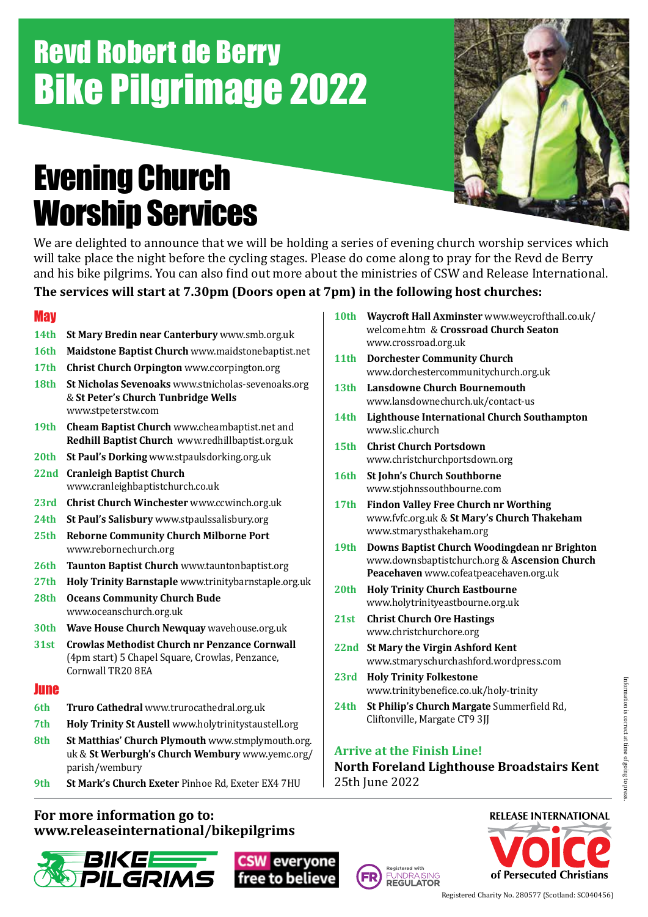### Revd Robert de Berry Bike Pilgrimage 2022

### Evening Church Worship Services



We are delighted to announce that we will be holding a series of evening church worship services which will take place the night before the cycling stages. Please do come along to pray for the Revd de Berry and his bike pilgrims. You can also find out more about the ministries of CSW and Release International.

### **The services will start at 7.30pm (Doors open at 7pm) in the following host churches:**

### **May**

- **14th St Mary Bredin near Canterbury** www.smb.org.uk
- **16th Maidstone Baptist Church** www.maidstonebaptist.net
- **17th Christ Church Orpington** www.ccorpington.org
- **18th St Nicholas Sevenoaks** www.stnicholas-sevenoaks.org & **St Peter's Church Tunbridge Wells** www.stpeterstw.com
- **19th Cheam Baptist Church** www.cheambaptist.net and **Redhill Baptist Church** www.redhillbaptist.org.uk
- **20th St Paul's Dorking** www.stpaulsdorking.org.uk
- **22nd Cranleigh Baptist Church** www.cranleighbaptistchurch.co.uk
- **23rd Christ Church Winchester** www.ccwinch.org.uk
- **24th St Paul's Salisbury** www.stpaulssalisbury.org
- **25th Reborne Community Church Milborne Port** www.rebornechurch.org
- **26th Taunton Baptist Church** www.tauntonbaptist.org
- **27th Holy Trinity Barnstaple** www.trinitybarnstaple.org.uk
- **28th Oceans Community Church Bude** www.oceanschurch.org.uk
- **30th Wave House Church Newquay** wavehouse.org.uk
- **31st Crowlas Methodist Church nr Penzance Cornwall** (4pm start) 5 Chapel Square, Crowlas, Penzance, Cornwall TR20 8EA

### **June**

- **6th Truro Cathedral** www.trurocathedral.org.uk
- **7th Holy Trinity St Austell** www.holytrinitystaustell.org
- **8th St Matthias' Church Plymouth** www.stmplymouth.org. uk & **St Werburgh's Church Wembury** www.yemc.org/ parish/wembury
- **9th St Mark's Church Exeter** Pinhoe Rd, Exeter EX4 7HU

### **For more information go to: www.releaseinternational/bikepilgrims**







- **11th Dorchester Community Church** www.dorchestercommunitychurch.org.uk
- **13th Lansdowne Church Bournemouth** www.lansdownechurch.uk/contact-us
- **14th Lighthouse International Church Southampton** www.slic.church
- **15th Christ Church Portsdown** www.christchurchportsdown.org
- **16th St John's Church Southborne** www.stjohnssouthbourne.com
- **17th Findon Valley Free Church nr Worthing** www.fvfc.org.uk & **St Mary's Church Thakeham** www.stmarysthakeham.org
- **19th Downs Baptist Church Woodingdean nr Brighton**  www.downsbaptistchurch.org & **Ascension Church Peacehaven** www.cofeatpeacehaven.org.uk
- **20th Holy Trinity Church Eastbourne** www.holytrinityeastbourne.org.uk
- **21st Christ Church Ore Hastings** www.christchurchore.org
- **22nd St Mary the Virgin Ashford Kent** www.stmaryschurchashford.wordpress.com
- **23rd Holy Trinity Folkestone** www.trinitybenefice.co.uk/holy-trinity
- **24th St Philip's Church Margate** Summerfield Rd, Cliftonville, Margate CT9 3JJ

### **Arrive at the Finish Line!**

FUNDRAISING<br>**REGULATOR** 

**North Foreland Lighthouse Broadstairs Kent** 25th June 2022

### **RELEASE INTERNATIONAL**